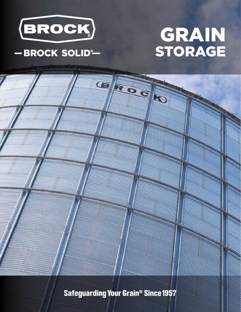

## -BROCK SOLID®

# GRAIN STORAGE

**Safeguarding Your Grain<sup>®</sup> Since 1957**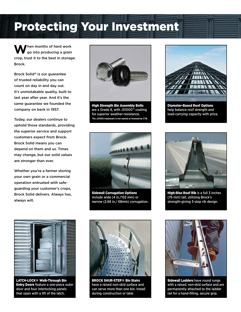# Protecting Your Investment

When months of hard work<br>go into producing a grain crop, trust it to the best in storage: Brock.

Brock Solid® is our guarantee of trusted reliability you can count on day in and day out. It's unmistakable quality, built to last year after year. And it's the same guarantee we founded the company on back in 1957.

Today, our dealers continue to uphold those standards, providing the superior service and support customers expect from Brock. Brock Solid means you can depend on them and us. Times may change, but our solid values are stronger than ever.

Whether you're a farmer storing your own grain or a commercial operation entrusted with safeguarding your customer's crops, Brock Solid delivers. Always has, always will.



High Strength Bin Assembly Bolts are a Grade 8, with JS1000™ coating for superior weather-resistance. **The JS1000 trademark is not owned or licensed by CTB.**



Diameter-Based Roof Options help balance roof strength and load-carrying capacity with price.



Sidewall Corrugation Options include wide (4 in./102 mm) or narrow (2.66 in./ 68mm) corrugation.



High-Rise Roof Rib is a full 3 inches (76 mm) tall, utilizing Brock's strength-giving 3-step rib design.



LATCH-LOCK® Walk-Through Bin **Entry Doors feature a one-piece outer** door and four interlocking panels that open with a lift of the latch.



BROCK SHUR-STEP® Bin Stairs have a raised non-skid surface and can serve more than one bin. Install during construction or later.



Sidewall Ladders have round rungs with a raised, non-skid surface and are permanently attached to the ladder rail for a hand-filling, secure grip.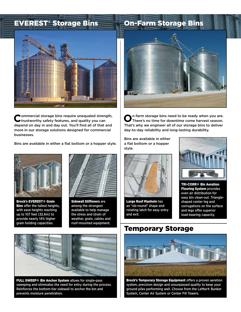

Commercial storage bins require unequaled strength, trustworthy safety features, and quality you can depend on day in and day out. You'll find all of that and more in our storage solutions designed for commercial businesses.

Bins are available in either a flat bottom or a hopper style.



Brock's EVEREST® Grain **Bins** offer the tallest heights, with eave heights reaching up to 107 feet (32.6m) to provide nearly 14% higher grain holding capacities.



Sidewall Stiffeners are among the strongest available to help manage the stress and strain of weather, grain, cables and roof-mounted equipment.



**O**n-farm storage bins need to be ready when you are. There's no time for downtime come harvest season. That's why we engineer all of our storage bins to deliver day-to-day reliability and long-lasting durability.

Bins are available in either a flat bottom or a hopper style.



Large Roof Manhole has an "ob-round" shape and rotating latch for easy entry and exit.



TRI-CORR® Bin Aeration **Flooring System provides** even air distribution for easy bin clean-out. Triangleshaped center leg and corrugations on the surface and legs offer superior load-bearing capacity.



FULL SWEEP® Bin Anchor System allows for single-pass sweeping and eliminates the need for entry during the process. Reinforces the bottom-tier sidewall to anchor the bin and prevents moisture penetration.

### Temporary Storage



Brock's Temporary Storage Equipment offers a proven aeration system, precision design and unsurpassed quality to keep your ground piles performing well. Choose from the LeMar® Bunker System, Center Air System or Center Fill Towers.